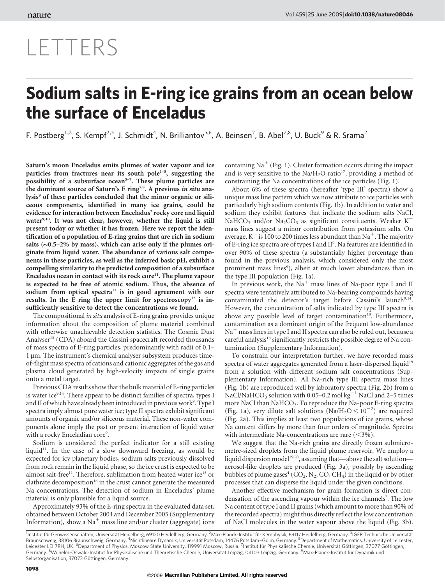## LETTERS

## Sodium salts in E-ring ice grains from an ocean below the surface of Enceladus

F. Postberg<sup>1,2</sup>, S. Kempf<sup>2,3</sup>, J. Schmidt<sup>4</sup>, N. Brilliantov<sup>5,6</sup>, A. Beinsen<sup>7</sup>, B. Abel<sup>7,8</sup>, U. Buck<sup>9</sup> & R. Srama<sup>2</sup>

Saturn's moon Enceladus emits plumes of water vapour and ice particles from fractures near its south pole<sup> $1-5$ </sup>, suggesting the possibility of a subsurface ocean<sup> $5-7$ </sup>. These plume particles are the dominant source of Saturn's E ring<sup>7,8</sup>. A previous *in situ* analysis<sup>9</sup> of these particles concluded that the minor organic or siliceous components, identified in many ice grains, could be evidence for interaction between Enceladus' rocky core and liquid water<sup>9,10</sup>. It was not clear, however, whether the liquid is still present today or whether it has frozen. Here we report the identification of a population of E-ring grains that are rich in sodium salts  $(-0.5-2\%$  by mass), which can arise only if the plumes originate from liquid water. The abundance of various salt components in these particles, as well as the inferred basic pH, exhibit a compelling similarity to the predicted composition of a subsurface Enceladus ocean in contact with its rock core<sup>11</sup>. The plume vapour is expected to be free of atomic sodium. Thus, the absence of sodium from optical spectra<sup>12</sup> is in good agreement with our results. In the E ring the upper limit for spectroscopy<sup>12</sup> is insufficiently sensitive to detect the concentrations we found.

The compositional in situ analysis of E-ring grains provides unique information about the composition of plume material combined with otherwise unachievable detection statistics. The Cosmic Dust Analyser<sup>13</sup> (CDA) aboard the Cassini spacecraft recorded thousands of mass spectra of E-ring particles, predominantly with radii of 0.1– 1 µm. The instrument's chemical analyser subsystem produces timeof-flight mass spectra of cations and cationic aggregates of the gas and plasma cloud generated by high-velocity impacts of single grains onto a metal target.

Previous CDA results show that the bulk material of E-ring particles is water ice<sup>9,14</sup>. There appear to be distinct families of spectra, types I and II of which have already been introduced in previous work<sup>9</sup>. Type I spectra imply almost pure water ice; type II spectra exhibit significant amounts of organic and/or siliceous material. These non-water components alone imply the past or present interaction of liquid water with a rocky Enceladian core9.

Sodium is considered the perfect indicator for a still existing liquid<sup>11</sup>. In the case of a slow downward freezing, as would be expected for icy planetary bodies, sodium salts previously dissolved from rock remain in the liquid phase, so the ice crust is expected to be almost salt-free<sup>11</sup>. Therefore, sublimation from heated water ice<sup>15</sup> or clathrate decomposition<sup>16</sup> in the crust cannot generate the measured Na concentrations. The detection of sodium in Enceladus' plume material is only plausible for a liquid source.

Approximately 93% of the E-ring spectra in the evaluated data set, obtained between October 2004 and December 2005 (Supplementary Information), show a  $Na<sup>+</sup>$  mass line and/or cluster (aggregate) ions containing Na<sup>+</sup> (Fig. 1). Cluster formation occurs during the impact and is very sensitive to the  $\text{Na}/\text{H}_2\text{O}$  ratio<sup>17</sup>, providing a method of constraining the Na concentrations of the ice particles (Fig. 1).

About 6% of these spectra (hereafter 'type III' spectra) show a unique mass line pattern which we now attribute to ice particles with particularly high sodium contents (Fig. 1b). In addition to water and sodium they exhibit features that indicate the sodium salts NaCl, NaHCO<sub>3</sub> and/or Na<sub>2</sub>CO<sub>3</sub> as significant constituents. Weaker K<sup>+</sup> mass lines suggest a minor contribution from potassium salts. On average,  $K^+$  is 100 to 200 times less abundant than Na<sup>+</sup>. The majority of E-ring ice spectra are of types I and II<sup>9</sup>. Na features are identified in over 90% of these spectra (a substantially higher percentage than found in the previous analysis, which considered only the most prominent mass lines<sup>9</sup>), albeit at much lower abundances than in the type III population (Fig. 1a).

In previous work, the  $Na<sup>+</sup>$  mass lines of Na-poor type I and II spectra were tentatively attributed to Na-bearing compounds having contaminated the detector's target before Cassini's launch<sup>9,14</sup>. However, the concentration of salts indicated by type III spectra is above any possible level of target contamination<sup>18</sup>. Furthermore, contamination as a dominant origin of the frequent low-abundance  $Na<sup>+</sup>$  mass lines in type I and II spectra can also be ruled out, because a careful analysis<sup>18</sup> significantly restricts the possible degree of Na contamination (Supplementary Information).

To constrain our interpretation further, we have recorded mass spectra of water aggregates generated from a laser-dispersed liquid<sup>19</sup> from a solution with different sodium salt concentrations (Supplementary Information). All Na-rich type III spectra mass lines (Fig. 1b) are reproduced well by laboratory spectra (Fig. 2b) from a NaCl/NaHCO<sub>3</sub> solution with 0.05–0.2 mol kg<sup>-1</sup> NaCl and 2–5 times more NaCl than NaHCO<sub>3</sub>. To reproduce the Na-poor E-ring spectra (Fig. 1a), very dilute salt solutions (Na/H<sub>2</sub>O <  $10^{-7}$ ) are required (Fig. 2a). This implies at least two populations of ice grains, whose Na content differs by more than four orders of magnitude. Spectra with intermediate Na-concentrations are rare  $(<3\%)$ .

We suggest that the Na-rich grains are directly frozen submicrometre-sized droplets from the liquid plume reservoir. We employ a liquid dispersion model<sup>19,20</sup>, assuming that—above the salt solution aerosol-like droplets are produced (Fig. 3a), possibly by ascending bubbles of plume gases<sup>4</sup> (CO<sub>2</sub>, N<sub>2</sub>, CO, CH<sub>4</sub>) in the liquid or by other processes that can disperse the liquid under the given conditions.

Another effective mechanism for grain formation is direct condensation of the ascending vapour within the ice channels<sup>7</sup>. The low Na content of type I and II grains (which amount to more than 90% of the recorded spectra) might thus directly reflect the low concentration of NaCl molecules in the water vapour above the liquid (Fig. 3b).

<sup>&</sup>lt;sup>1</sup>Institut für Geowissenschaften, Universität Heidelberg, 69120 Heidelberg, Germany. <sup>2</sup>Max-Planck-Institut für Kernphysik, 69117 Heidelberg, Germany. <sup>3</sup>IGEP, Technische Universität Braunschweig, 38106 Braunschweig, Germany. <sup>4</sup>Nichtlineare Dynamik, Universität Potsdam, 14476 Potsdam–Golm, Germany. <sup>5</sup>Department of Mathematics, University of Leicester, Leicester LEI 7RH, UK. <sup>6</sup>Department of Physics, Moscow State University, 119991 Moscow, Russia. <sup>7</sup>Institut für Physikalische Chemie, Universität Göttingen, 37077 Göttingen, Germany. <sup>8</sup>Wilhelm-Oswald-Institut für Physikalische und Theoretische Chemie, Universität Leipzig, 04103 Leipzig, Germany. <sup>9</sup>Max-Planck-Institut für Dynamik und Selbstorganisation, 37073 Göttingen, Germany.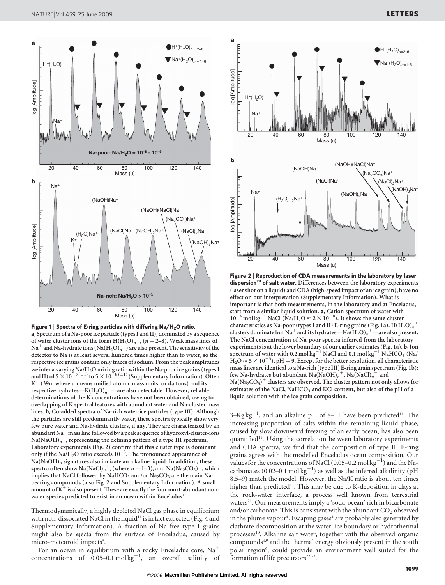



a, Spectrum of a Na-poorice particle (types I and II), dominated by a sequence of water cluster ions of the form  $H(H_2O)<sub>n</sub>$ <sup>+</sup>, ( $n = 2-8$ ). Weak mass lines of  $\mathrm{Na}^+$  and  $\mathrm{Na}$ -hydrate ions  $(\mathrm{Na}(\mathrm{H_2O})_n^+)$  are also present. The sensitivity of the detector to Na is at least several hundred times higher than to water, so the respective ice grains contain only traces of sodium. From the peak amplitudes we infer a varying Na/H<sub>2</sub>O mixing ratio within the Na-poor ice grains (types I<br>and II) of  $5 \times 10^{-5 \, (\pm 1)}$  to  $5 \times 10^{-8 \, (\pm 1)}$  (Supplementary Information). Often  $K^+$  (39u, where u means unified atomic mass units, or daltons) and its respective hydrates—K $\rm{(H_2O)_\textit{n}}^{+}$ —are also detectable. However, reliable determinations of the K concentrations have not been obtained, owing to overlapping of K spectral features with abundant water and Na-cluster mass lines. b, Co-added spectra of Na-rich water-ice particles (type III). Although the particles are still predominantly water, these spectra typically show very few pure water and Na-hydrate clusters, if any. They are characterized by an abundant Na<sup> $+$ </sup> mass line followed by a peak sequence of hydroxyl-cluster-ions  $\mathrm{Na}(\mathrm{NaOH})_{n}^{-+},$  representing the defining pattern of a type III spectrum. Laboratory experiments (Fig. 2) confirm that this cluster type is dominant only if the Na/H<sub>2</sub>O ratio exceeds  $10^{-3}$ . The pronounced appearance of  $Na(NaOH)<sub>n</sub>$  signatures also indicate an alkaline liquid. In addition, these spectra often show Na(NaCl)<sub>n</sub><sup>+</sup>, (where  $n = 1-3$ ), and Na(Na<sub>2</sub>CO<sub>3</sub>)<sup>+</sup>, which implies that NaCl followed by NaHCO<sub>3</sub> and/or  $Na<sub>2</sub>CO<sub>3</sub>$  are the main Nabearing compounds (also Fig. 2 and Supplementary Information). A small amount of  $K^+$  is also present. These are exactly the four most-abundant nonwater species predicted to exist in an ocean within Enceladus<sup>11</sup>.

Thermodynamically, a highly depleted NaCl gas phase in equilibrium with non-dissociated NaCl in the liquid<sup>11</sup> is in fact expected (Fig. 4 and Supplementary Information). A fraction of Na-free type I grains might also be ejecta from the surface of Enceladus, caused by micro-meteoroid impacts<sup>9</sup>.

For an ocean in equilibrium with a rocky Enceladus core,  $Na<sup>+</sup>$ concentrations of  $0.05-0.1 \text{ mol kg}^{-1}$ , an overall salinity of



Figure 2 <sup>|</sup> Reproduction of CDA measurements in the laboratory by laser dispersion<sup>19</sup> of salt water. Differences between the laboratory experiments (laser shot on a liquid) and CDA (high-speed impact of an ice grain), have no effect on our interpretation (Supplementary Information). What is important is that both measurements, in the laboratory and at Enceladus, start from a similar liquid solution. a, Cation spectrum of water with  $10^{-6}$  mol kg<sup>-1</sup> NaCl (Na/H<sub>2</sub>O  $\approx$  2  $\times$  10<sup>-8</sup>). It shows the same cluster characteristics as Na-poor (types I and II) E-ring grains (Fig. 1a).  $\mathrm{H(H_2O)}_n^+$ clusters dominate but Na<sup>+</sup> and its hydrates—Na(H<sub>2</sub>O)<sub>n</sub><sup>+</sup>—are also present. The NaCl concentration of Na-poor spectra inferred from the laboratory experiments is at the lower boundary of our earlier estimates (Fig. 1a). b, Ion spectrum of water with 0.2 mol kg<sup>-1</sup> NaCl and 0.1 mol kg<sup>-1</sup> NaHCO<sub>3</sub> (Na/  $\hat{H}_2O \approx 5 \times 10^{-3}$ ), pH = 9. Except for the better resolution, all characteristic mass lines are identical to a Na-rich (type III) E-ring grain spectrum (Fig. 1b): few Na-hydrates but abundant  $\text{Na}(\text{NaOH})_n^+$ ,  $\text{Na}(\text{NaCl})_n^+$  and  $\rm Na(Na_2CO_3)^+$  clusters are observed. The cluster pattern not only allows for

estimates of the NaCl, NaHCO<sub>3</sub> and KCl content, but also of the pH of a liquid solution with the ice grain composition.

3–8 g kg<sup>-1</sup>, and an alkaline pH of 8–11 have been predicted<sup>11</sup>. The increasing proportion of salts within the remaining liquid phase, caused by slow downward freezing of an early ocean, has also been quantified<sup>11</sup>. Using the correlation between laboratory experiments and CDA spectra, we find that the composition of type III E-ring grains agrees with the modelled Enceladus ocean composition. Our values for the concentrations of NaCl (0.05–0.2 mol kg<sup>-1</sup>) and the Nacarbonates (0.02-0.1 mol  $kg^{-1}$ ) as well as the inferred alkalinity (pH 8.5–9) match the model. However, the Na/K ratio is about ten times higher than predicted<sup>11</sup>. This may be due to K-deposition in clays at the rock-water interface, a process well known from terrestrial waters<sup>21</sup>. Our measurements imply a 'soda-ocean' rich in bicarbonate and/or carbonate. This is consistent with the abundant  $CO<sub>2</sub>$  observed in the plume vapour<sup>4</sup>. Escaping gases<sup>4</sup> are probably also generated by clathrate decomposition at the water–ice boundary or hydrothermal processes<sup>10</sup>. Alkaline salt water, together with the observed organic compounds4,9 and the thermal energy obviously present in the south polar region<sup>6</sup>, could provide an environment well suited for the formation of life precursors $22,23$ .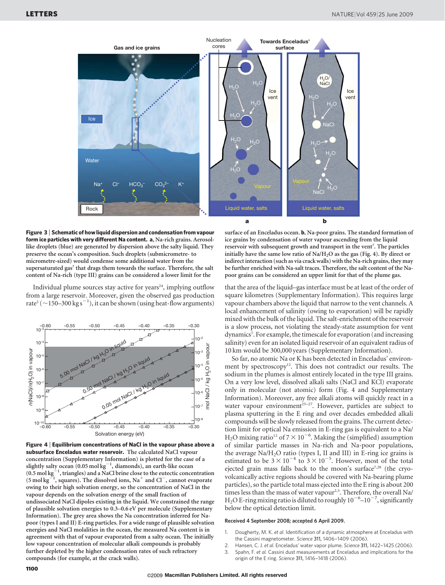

Figure 3 <sup>|</sup> Schematic of how liquid dispersion and condensation from vapour form ice particles with very different Na content. a, Na-rich grains. Aerosollike droplets (blue) are generated by dispersion above the salty liquid. They preserve the ocean's composition. Such droplets (submicrometre- to micrometre-sized) would condense some additional water from the supersaturated gas<sup>7</sup> that drags them towards the surface. Therefore, the salt content of Na-rich (type III) grains can be considered a lower limit for the

Individual plume sources stay active for years $24$ , implying outflow from a large reservoir. Moreover, given the observed gas production rate<sup>2</sup> ( $\sim$ 150–300 kg s<sup>-1</sup>), it can be shown (using heat-flow arguments)



Figure 4 <sup>|</sup> Equilibrium concentrations of NaCl in the vapour phase above a subsurface Enceladus water reservoir. The calculated NaCl vapour concentration (Supplementary Information) is plotted for the case of a slightly salty ocean  $(0.05 \text{ mol kg}^{-1})$ , diamonds), an earth-like ocean  $(0.5 \text{ mol kg}^{-1}, \text{triangles})$  and a NaCl brine close to the eutectic concentration  $(5 \text{ mol kg}^{-1})$ <sup>1</sup>, squares). The dissolved ions,  $\mathrm{Na}^+$  and  $\mathrm{Cl}^-$ , cannot evaporate owing to their high solvation energy, so the concentration of NaCl in the vapour depends on the solvation energy of the small fraction of undissociated NaCl dipoles existing in the liquid. We constrained the range of plausible solvation energies to 0.3–0.6 eV per molecule (Supplementary Information). The grey area shows the Na concentration inferred for Napoor (types I and II) E-ring particles. For a wide range of plausible solvation energies and NaCl molalities in the ocean, the measured Na content is in agreement with that of vapour evaporated from a salty ocean. The initially low vapour concentration of molecular alkali compounds is probably further depleted by the higher condensation rates of such refractory compounds (for example, at the crack walls).

surface of an Enceladus ocean. b, Na-poor grains. The standard formation of ice grains by condensation of water vapour ascending from the liquid reservoir with subsequent growth and transport in the vent<sup>7</sup>. The particles initially have the same low ratio of  $\text{Na}/\text{H}_2\text{O}$  as the gas (Fig. 4). By direct or indirect interaction (such as via crack walls) with the Na-rich grains, they may be further enriched with Na-salt traces. Therefore, the salt content of the Napoor grains can be considered an upper limit for that of the plume gas.

that the area of the liquid–gas interface must be at least of the order of square kilometres (Supplementary Information). This requires large vapour chambers above the liquid that narrow to the vent channels. A local enhancement of salinity (owing to evaporation) will be rapidly mixed with the bulk of the liquid. The salt-enrichment of the reservoir is a slow process, not violating the steady-state assumption for vent dynamics<sup>7</sup>. For example, the timescale for evaporation (and increasing salinity) even for an isolated liquid reservoir of an equivalent radius of 10 km would be 300,000 years (Supplementary Information).

So far, no atomic Na or K has been detected in Enceladus' environment by spectroscopy<sup>12</sup>. This does not contradict our results. The sodium in the plumes is almost entirely located in the type III grains. On a very low level, dissolved alkali salts (NaCl and KCl) evaporate only in molecular (not atomic) form (Fig. 4 and Supplementary Information). Moreover, any free alkali atoms will quickly react in a water vapour environment<sup>25-27</sup>. However, particles are subject to plasma sputtering in the E ring and over decades embedded alkali compounds will be slowly released from the grains. The current detection limit for optical Na emission in E-ring gas is equivalent to a Na/ H<sub>2</sub>O mixing ratio<sup>12</sup> of  $7 \times 10^{-6}$ . Making the (simplified) assumption of similar particle masses in Na-rich and Na-poor populations, the average  $Na/H<sub>2</sub>O$  ratio (types I, II and III) in E-ring ice grains is estimated to be  $3 \times 10^{-4}$  to  $3 \times 10^{-5}$ . However, most of the total ejected grain mass falls back to the moon's surface<sup>7,28</sup> (the cryovolcanically active regions should be covered with Na-bearing plume particles), so the particle total mass ejected into the E ring is about 200 times less than the mass of water vapour<sup>2,5</sup>. Therefore, the overall Na/ H<sub>2</sub>O E-ring mixing ratio is diluted to roughly  $10^{-6}$ – $10^{-7}$ , significantly below the optical detection limit.

## Received 4 September 2008; accepted 6 April 2009.

- 1. Dougherty, M. K. et al. Identification of a dynamic atmosphere at Enceladus with the Cassini magnetometer. Science 311, 1406–1409 (2006).
- 2. Hansen, C. J. et al. Enceladus' water vapor plume. Science 311, 1422-1425 (2006).
- 3. Spahn, F. et al. Cassini dust measurements at Enceladus and implications for the origin of the E ring. Science 311, 1416–1418 (2006).